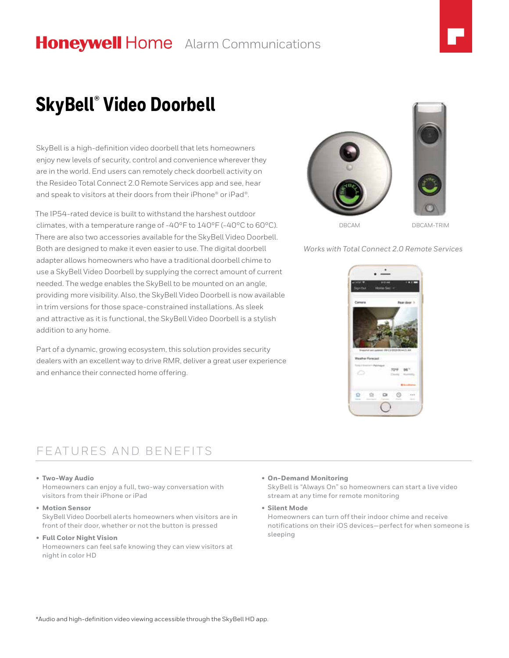# **Honeywell Home** Alarm Communications



# **SkyBell® Video Doorbell**

SkyBell is a high-definition video doorbell that lets homeowners enjoy new levels of security, control and convenience wherever they are in the world. End users can remotely check doorbell activity on the Resideo Total Connect 2.0 Remote Services app and see, hear and speak to visitors at their doors from their iPhone® or iPad®.

The IP54-rated device is built to withstand the harshest outdoor climates, with a temperature range of -40ºF to 140ºF (-40ºC to 60ºC). There are also two accessories available for the SkyBell Video Doorbell. Both are designed to make it even easier to use. The digital doorbell adapter allows homeowners who have a traditional doorbell chime to use a SkyBell Video Doorbell by supplying the correct amount of current needed. The wedge enables the SkyBell to be mounted on an angle, providing more visibility. Also, the SkyBell Video Doorbell is now available in trim versions for those space-constrained installations. As sleek and attractive as it is functional, the SkyBell Video Doorbell is a stylish addition to any home.

Part of a dynamic, growing ecosystem, this solution provides security dealers with an excellent way to drive RMR, deliver a great user experience and enhance their connected home offering.



*Works with Total Connect 2.0 Remote Services*



## FEATURES AND BENEFITS

#### **• Two-Way Audio**

Homeowners can enjoy a full, two-way conversation with visitors from their iPhone or iPad

**• Motion Sensor**

SkyBell Video Doorbell alerts homeowners when visitors are in front of their door, whether or not the button is pressed

### **• Full Color Night Vision**

Homeowners can feel safe knowing they can view visitors at night in color HD

#### **• On-Demand Monitoring**

SkyBell is "Always On" so homeowners can start a live video stream at any time for remote monitoring

**• Silent Mode**

Homeowners can turn off their indoor chime and receive notifications on their iOS devices—perfect for when someone is sleeping